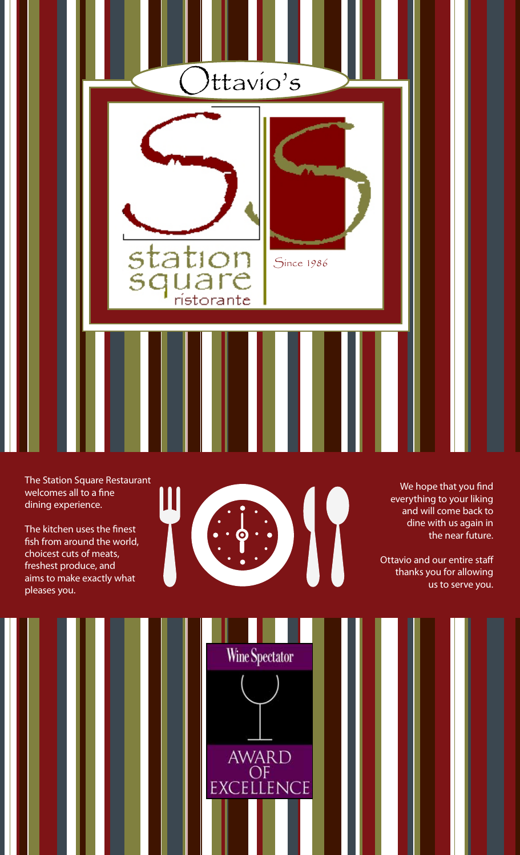

The Station Square Restaurant welcomes all to a fine dining experience.

The kitchen uses the finest fish from around the world, choicest cuts of meats, freshest produce, and aims to make exactly what pleases you.



We hope that you find everything to your liking and will come back to dine with us again in the near future.

Ottavio and our entire staff thanks you for allowing us to serve you.



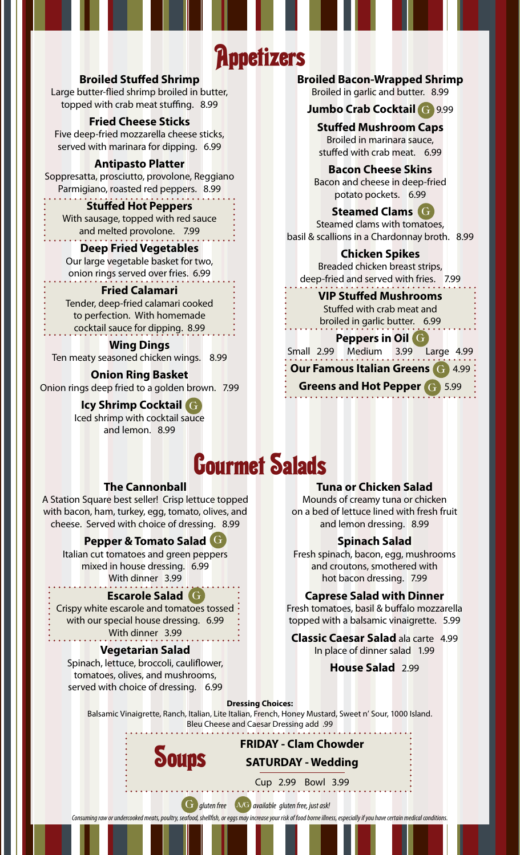## **Appetizers**

## **Broiled Stuffed Shrimp**

Large butter-flied shrimp broiled in butter, topped with crab meat stuffing. 8.99

### **Fried Cheese Sticks**

Five deep-fried mozzarella cheese sticks, served with marinara for dipping. 6.99

### **Antipasto Platter**

Soppresatta, prosciutto, provolone, Reggiano Parmigiano, roasted red peppers. 8.99

### **Stuffed Hot Peppers**

With sausage, topped with red sauce and melted provolone. 7.99

## **Deep Fried Vegetables**

Our large vegetable basket for two, onion rings served over fries. 6.99

## **Fried Calamari**

Tender, deep-fried calamari cooked to perfection. With homemade cocktail sauce for dipping. 8.99

## **Wing Dings**

Ten meaty seasoned chicken wings. 8.99

## **Onion Ring Basket**

Onion rings deep fried to a golden brown. 7.99

#### **Icy Shrimp Cocktail** G Iced shrimp with cocktail sauce and lemon. 8.99

**Broiled Bacon-Wrapped Shrimp** 

Broiled in garlic and butter. 8.99

## **Jumbo Crab Cocktail** G9.99 G

**Stuffed Mushroom Caps** Broiled in marinara sauce, stuffed with crab meat. 6.99

### **Bacon Cheese Skins**

Bacon and cheese in deep-fried potato pockets. 6.99

**Steamed Clams** G G Steamed clams with tomatoes, basil & scallions in a Chardonnay broth. 8.99

## **Chicken Spikes** Breaded chicken breast strips, deep-fried and served with fries. 7.99

### **VIP Stuffed Mushrooms**

Stuffed with crab meat and broiled in garlic butter. 6.99

### **Peppers in Oil** G

Small 2.99 Medium 3.99 Large 4.99 **Our Famous Italian Greens <b>G** 4.99

Greens and Hot Pepper<sup>(G)</sup> 5.99

# Gourmet Salads

### **The Cannonball**

A Station Square best seller! Crisp lettuce topped with bacon, ham, turkey, egg, tomato, olives, and cheese. Served with choice of dressing. 8.99

## **Pepper & Tomato Salad** G

Italian cut tomatoes and green peppers mixed in house dressing. 6.99 With dinner 3.99

## **Escarole Salad** G

Crispy white escarole and tomatoes tossed : with our special house dressing. 6.99 With dinner 3.99

## **Vegetarian Salad**

Spinach, lettuce, broccoli, cauliflower, tomatoes, olives, and mushrooms, served with choice of dressing. 6.99

### **Tuna or Chicken Salad**

Mounds of creamy tuna or chicken on a bed of lettuce lined with fresh fruit and lemon dressing. 8.99

### **Spinach Salad**

Fresh spinach, bacon, egg, mushrooms and croutons, smothered with hot bacon dressing. 7.99

### **Caprese Salad with Dinner**

Fresh tomatoes, basil & buffalo mozzarella topped with a balsamic vinaigrette. 5.99

**Classic Caesar Salad** ala carte 4.99 In place of dinner salad 1.99

### **House Salad** 2.99

**Dressing Choices:**

Balsamic Vinaigrette, Ranch, Italian, Lite Italian, French, Honey Mustard, Sweet n' Sour, 1000 Island. Bleu Cheese and Caesar Dressing add .99



Cup 2.99 Bowl 3.99

**FRIDAY - Clam Chowder**

**SATURDAY - Wedding**

G *gluten free* A/G *available gluten free, just ask!* 

*Consuming raw or undercooked meats, poultry, seafood, shellfish, or eggs may increase your risk of food borne illness, especially if you have certain medical conditions.*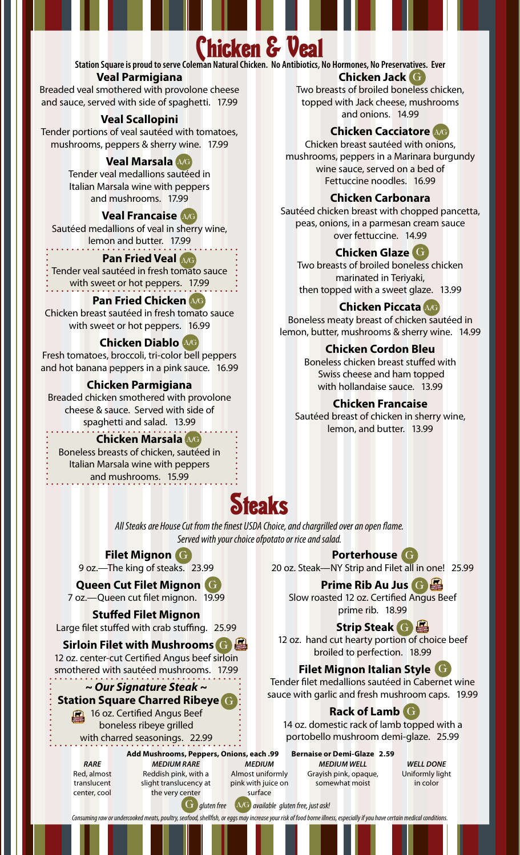## Chicken & Veal

**Station Square is proud to serve Coleman Natural Chicken. No Antibiotics, No Hormones, No Preservatives. Ever**

## **Veal Parmigiana**

Breaded veal smothered with provolone cheese and sauce, served with side of spaghetti. 17.99

## **Veal Scallopini**

Tender portions of veal sautéed with tomatoes, mushrooms, peppers & sherry wine. 17.99

## **Veal Marsala** A/G

Tender veal medallions sautéed in Italian Marsala wine with peppers and mushrooms. 17.99

## **Veal Francaise** A/G

Sautéed medallions of veal in sherry wine, lemon and butter. 17.99

## **Pan Fried Veal** A/G

Tender veal sautéed in fresh tomato sauce with sweet or hot peppers. 17.99

## **Pan Fried Chicken** A/G

Chicken breast sautéed in fresh tomato sauce with sweet or hot peppers. 16.99

## **Chicken Diablo** A/G

Fresh tomatoes, broccoli, tri-color bell peppers and hot banana peppers in a pink sauce. 16.99

## **Chicken Parmigiana**

Breaded chicken smothered with provolone cheese & sauce. Served with side of spaghetti and salad. 13.99

## **Chicken Marsala** A/G

Boneless breasts of chicken, sautéed in Italian Marsala wine with peppers and mushrooms. 15.99

#### **Chicken Jack** G G Two breasts of broiled boneless chicken, topped with Jack cheese, mushrooms and onions. 14.99

## **Chicken Cacciatore** A/G

Chicken breast sautéed with onions, mushrooms, peppers in a Marinara burgundy wine sauce, served on a bed of Fettuccine noodles. 16.99

## **Chicken Carbonara**

Sautéed chicken breast with chopped pancetta, peas, onions, in a parmesan cream sauce over fettuccine. 14.99

## **Chicken Glaze** G G

Two breasts of broiled boneless chicken marinated in Teriyaki, then topped with a sweet glaze. 13.99

## **Chicken Piccata** A/G

Boneless meaty breast of chicken sautéed in lemon, butter, mushrooms & sherry wine. 14.99

## **Chicken Cordon Bleu**

Boneless chicken breast stuffed with Swiss cheese and ham topped with hollandaise sauce. 13.99

## **Chicken Francaise**

Sautéed breast of chicken in sherry wine, lemon, and butter. 13.99

## Steaks

*All Steaks are House Cut from the finest USDA Choice, and chargrilled over an open flame. Served with your choice ofpotato or rice and salad.* 

## **Filet Mignon** G

9 oz.—The king of steaks. 23.99

**Queen Cut Filet Mignon** G G 7 oz.—Queen cut filet mignon. 19.99

**Stuffed Filet Mignon** Large filet stuffed with crab stuffing. 25.99

**Sirloin Filet with Mushrooms** G G 12 oz. center-cut Certified Angus beef sirloin

smothered with sautéed mushrooms. 17.99

## *~ Our Signature Steak ~* **Station Square Charred Ribeye** G G **16 oz. Certified Angus Beef**

boneless ribeye grilled

with charred seasonings. 22.99

*RARE* Red, almost translucent center, cool

**Add Mushrooms, Peppers, Onions, each .99 Bernaise or Demi-Glaze 2.59**  *MEDIUM RARE* Reddish pink, with a slight translucency at the very center

*MEDIUM* Almost uniformly

*MEDIUM WELL* Grayish pink, opaque, somewhat moist

*WELL DONE* Uniformly light in color

pink with juice on surface

G *gluten free* A/G *available gluten free, just ask!* 

*Consuming raw or undercooked meats, poultry, seafood, shellfish, or eggs may increase your risk of food borne illness, especially if you have certain medical conditions.*

20 oz. Steak—NY Strip and Filet all in one! 25.99

**Prime Rib Au Jus** G

**Porterhouse** G G

Slow roasted 12 oz. Certified Angus Beef

prime rib. 18.99

## **Strip Steak** G

12 oz. hand cut hearty portion of choice beef broiled to perfection. 18.99

## **Filet Mignon Italian Style** G G

Tender filet medallions sautéed in Cabernet wine sauce with garlic and fresh mushroom caps. 19.99

## **Rack of Lamb** G G

14 oz. domestic rack of lamb topped with a portobello mushroom demi-glaze. 25.99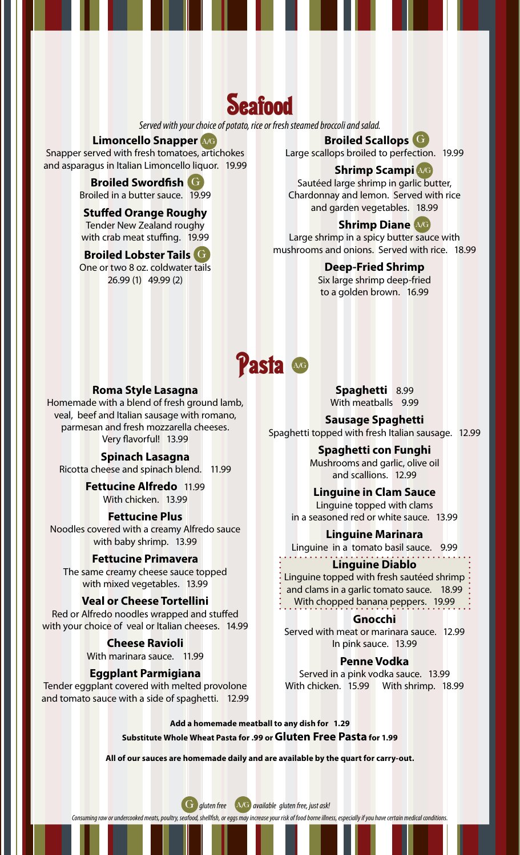## **Seafood**

*Served with your choice of potato, rice or fresh steamed broccoli and salad.*

### **Limoncello Snapper** A/G

Snapper served with fresh tomatoes, artichokes and asparagus in Italian Limoncello liquor. 19.99

#### **Broiled Swordfish** G G Broiled in a butter sauce. 19.99

**Stuffed Orange Roughy** Tender New Zealand roughy with crab meat stuffing. 19.99

### **Broiled Lobster Tails** G G

One or two 8 oz. coldwater tails 26.99 (1) 49.99 (2)

## **Broiled Scallops** G GLarge scallops broiled to perfection. 19.99

## **Shrimp Scampi** A/G

Sautéed large shrimp in garlic butter, Chardonnay and lemon. Served with rice and garden vegetables. 18.99

## **Shrimp Diane** A/G

Large shrimp in a spicy butter sauce with mushrooms and onions. Served with rice. 18.99

### **Deep-Fried Shrimp**

Six large shrimp deep-fried to a golden brown. 16.99

## **Pasta**

### **Roma Style Lasagna**

Homemade with a blend of fresh ground lamb, veal, beef and Italian sausage with romano, parmesan and fresh mozzarella cheeses. Very flavorful! 13.99

### **Spinach Lasagna**

Ricotta cheese and spinach blend. 11.99

**Fettucine Alfredo** 11.99 With chicken. 13.99

### **Fettucine Plus**

Noodles covered with a creamy Alfredo sauce with baby shrimp. 13.99

#### **Fettucine Primavera**

The same creamy cheese sauce topped with mixed vegetables. 13.99

### **Veal or Cheese Tortellini**

Red or Alfredo noodles wrapped and stuffed with your choice of veal or Italian cheeses. 14.99

> **Cheese Ravioli** With marinara sauce. 11.99

### **Eggplant Parmigiana**

Tender eggplant covered with melted provolone and tomato sauce with a side of spaghetti. 12.99

**Spaghetti** 8.99 With meatballs 9.99

**Sausage Spaghetti** Spaghetti topped with fresh Italian sausage. 12.99

> **Spaghetti con Funghi** Mushrooms and garlic, olive oil and scallions. 12.99

## **Linguine in Clam Sauce**

Linguine topped with clams in a seasoned red or white sauce. 13.99

#### **Linguine Marinara**

Linguine in a tomato basil sauce. 9.99

### **Linguine Diablo**

Linguine topped with fresh sautéed shrimp and clams in a garlic tomato sauce. 18.99 With chopped banana peppers. 19.99

#### **Gnocchi**

Served with meat or marinara sauce. 12.99 In pink sauce. 13.99

### **Penne Vodka**

Served in a pink vodka sauce. 13.99 With chicken. 15.99 With shrimp. 18.99

**Add a homemade meatball to any dish for 1.29 Substitute Whole Wheat Pasta for .99 or Gluten Free Pasta for 1.99**

**All of our sauces are homemade daily and are available by the quart for carry-out.**

G *gluten free* A/G *available gluten free, just ask!* 

*Consuming raw or undercooked meats, poultry, seafood, shellfish, or eggs may increase your risk of food borne illness, especially if you have certain medical conditions.*